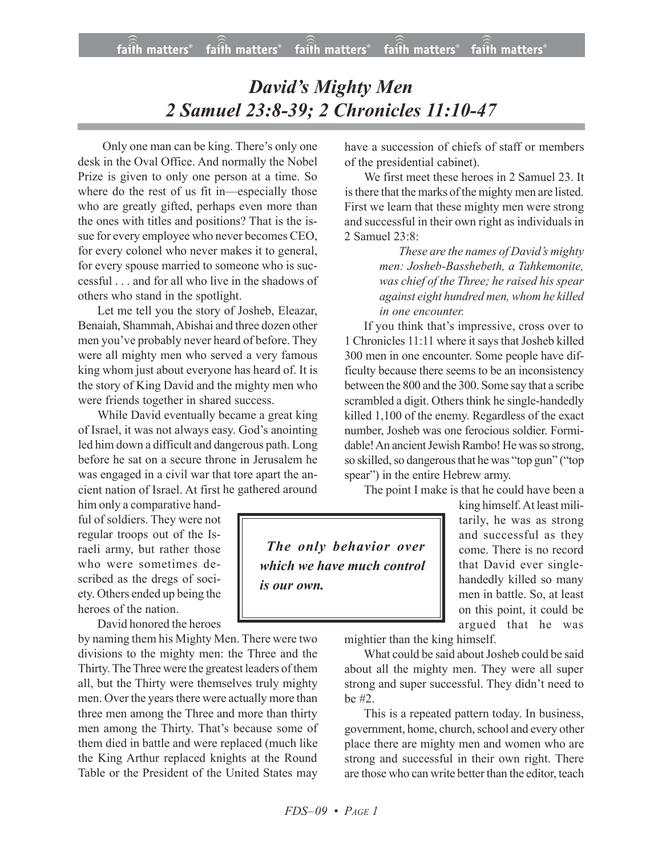## *David's Mighty Men 2 Samuel 23:8-39; 2 Chronicles 11:10-47*

 Only one man can be king. There's only one desk in the Oval Office. And normally the Nobel Prize is given to only one person at a time. So where do the rest of us fit in—especially those who are greatly gifted, perhaps even more than the ones with titles and positions? That is the issue for every employee who never becomes CEO, for every colonel who never makes it to general, for every spouse married to someone who is successful . . . and for all who live in the shadows of others who stand in the spotlight.

Let me tell you the story of Josheb, Eleazar, Benaiah, Shammah,Abishai and three dozen other men you've probably never heard of before. They were all mighty men who served a very famous king whom just about everyone has heard of. It is the story of King David and the mighty men who were friends together in shared success.

While David eventually became a great king of Israel, it was not always easy. God's anointing led him down a difficult and dangerous path. Long before he sat on a secure throne in Jerusalem he was engaged in a civil war that tore apart the ancient nation of Israel. At first he gathered around

him only a comparative handful of soldiers. They were not regular troops out of the Israeli army, but rather those who were sometimes described as the dregs of society. Others ended up being the heroes of the nation.

David honored the heroes

by naming them his Mighty Men. There were two divisions to the mighty men: the Three and the Thirty. The Three were the greatest leaders of them all, but the Thirty were themselves truly mighty men. Over the years there were actually more than three men among the Three and more than thirty men among the Thirty. That's because some of them died in battle and were replaced (much like the King Arthur replaced knights at the Round Table or the President of the United States may

have a succession of chiefs of staff or members of the presidential cabinet).

We first meet these heroes in 2 Samuel 23. It isthere that the marks of the mighty men are listed. First we learn that these mighty men were strong and successful in their own right as individuals in 2 Samuel 23:8:

> *These are the names of David's mighty men: Josheb-Basshebeth, a Tahkemonite, was chief of the Three; he raised his spear against eight hundred men, whom he killed in one encounter.*

If you think that's impressive, cross over to 1 Chronicles 11:11 where it says that Josheb killed 300 men in one encounter. Some people have difficulty because there seems to be an inconsistency between the 800 and the 300. Some say that a scribe scrambled a digit. Others think he single-handedly killed 1,100 of the enemy. Regardless of the exact number, Josheb was one ferocious soldier. Formidable! An ancient Jewish Rambo! He was so strong, so skilled, so dangerous that he was "top gun" ("top spear") in the entire Hebrew army.

The point I make is that he could have been a

*The only behavior over which we have much control is our own.*

king himself.At least militarily, he was as strong and successful as they come. There is no record that David ever singlehandedly killed so many men in battle. So, at least on this point, it could be argued that he was

mightier than the king himself.

What could be said about Josheb could be said about all the mighty men. They were all super strong and super successful. They didn't need to be #2.

This is a repeated pattern today. In business, government, home, church, school and every other place there are mighty men and women who are strong and successful in their own right. There are those who can write better than the editor, teach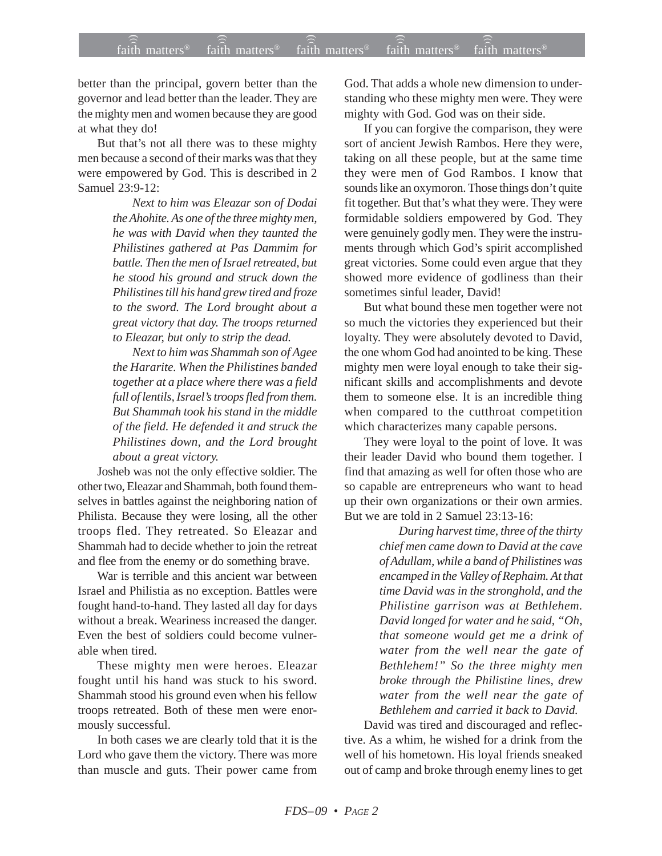better than the principal, govern better than the governor and lead better than the leader. They are the mighty men and women because they are good at what they do!

But that's not all there was to these mighty men because a second of their marks was that they were empowered by God. This is described in 2 Samuel 23:9-12:

> *Next to him was Eleazar son of Dodai the Ahohite. As one of the three mighty men, he was with David when they taunted the Philistines gathered at Pas Dammim for battle. Then the men of Israel retreated, but he stood his ground and struck down the Philistines till his hand grew tired and froze to the sword. The Lord brought about a great victory that day. The troops returned to Eleazar, but only to strip the dead.*

> *Next to him was Shammah son of Agee the Hararite. When the Philistines banded together at a place where there was a field full of lentils, Israel's troops fled from them. But Shammah took his stand in the middle of the field. He defended it and struck the Philistines down, and the Lord brought about a great victory.*

Josheb was not the only effective soldier. The other two, Eleazar and Shammah, both found themselves in battles against the neighboring nation of Philista. Because they were losing, all the other troops fled. They retreated. So Eleazar and Shammah had to decide whether to join the retreat and flee from the enemy or do something brave.

War is terrible and this ancient war between Israel and Philistia as no exception. Battles were fought hand-to-hand. They lasted all day for days without a break. Weariness increased the danger. Even the best of soldiers could become vulnerable when tired.

These mighty men were heroes. Eleazar fought until his hand was stuck to his sword. Shammah stood his ground even when his fellow troops retreated. Both of these men were enormously successful.

In both cases we are clearly told that it is the Lord who gave them the victory. There was more than muscle and guts. Their power came from God. That adds a whole new dimension to understanding who these mighty men were. They were mighty with God. God was on their side.

If you can forgive the comparison, they were sort of ancient Jewish Rambos. Here they were, taking on all these people, but at the same time they were men of God Rambos. I know that sounds like an oxymoron. Those things don't quite fit together. But that's what they were. They were formidable soldiers empowered by God. They were genuinely godly men. They were the instruments through which God's spirit accomplished great victories. Some could even argue that they showed more evidence of godliness than their sometimes sinful leader, David!

But what bound these men together were not so much the victories they experienced but their loyalty. They were absolutely devoted to David, the one whom God had anointed to be king. These mighty men were loyal enough to take their significant skills and accomplishments and devote them to someone else. It is an incredible thing when compared to the cutthroat competition which characterizes many capable persons.

They were loyal to the point of love. It was their leader David who bound them together. I find that amazing as well for often those who are so capable are entrepreneurs who want to head up their own organizations or their own armies. But we are told in 2 Samuel 23:13-16:

> *During harvest time, three of the thirty chief men came down to David at the cave of Adullam, while a band of Philistines was encamped in the Valley of Rephaim. At that time David was in the stronghold, and the Philistine garrison was at Bethlehem. David longed for water and he said, "Oh, that someone would get me a drink of water from the well near the gate of Bethlehem!" So the three mighty men broke through the Philistine lines, drew water from the well near the gate of Bethlehem and carried it back to David.*

David was tired and discouraged and reflective. As a whim, he wished for a drink from the well of his hometown. His loyal friends sneaked out of camp and broke through enemy lines to get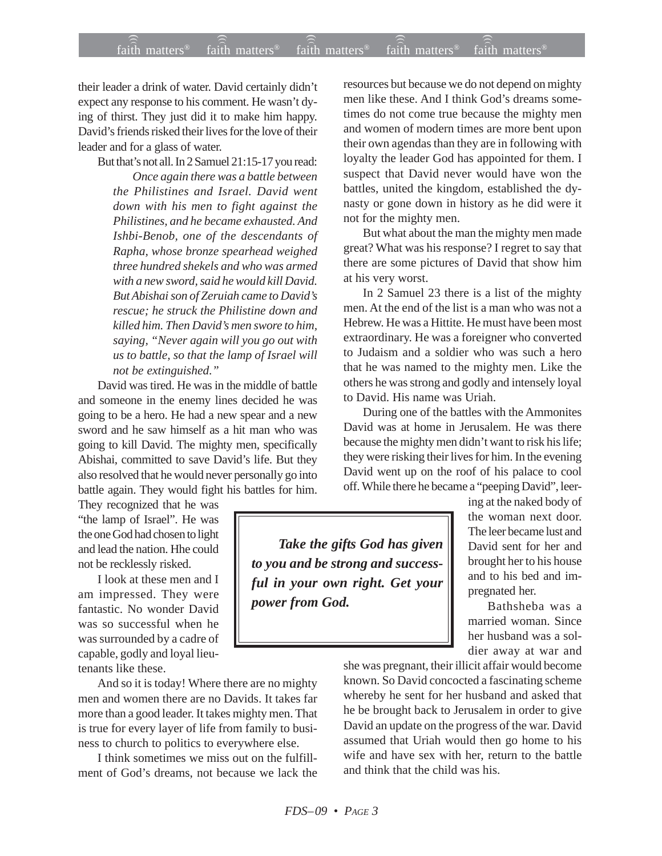their leader a drink of water. David certainly didn't expect any response to his comment. He wasn't dying of thirst. They just did it to make him happy. David's friends risked their lives for the love of their leader and for a glass of water.

But that's not all. In 2 Samuel 21:15-17 you read:

*Once again there was a battle between the Philistines and Israel. David went down with his men to fight against the Philistines, and he became exhausted. And Ishbi-Benob, one of the descendants of Rapha, whose bronze spearhead weighed three hundred shekels and who was armed with a new sword, said he would kill David. But Abishai son of Zeruiah came to David's rescue; he struck the Philistine down and killed him. Then David's men swore to him, saying, "Never again will you go out with us to battle, so that the lamp of Israel will not be extinguished."*

David was tired. He was in the middle of battle and someone in the enemy lines decided he was going to be a hero. He had a new spear and a new sword and he saw himself as a hit man who was going to kill David. The mighty men, specifically Abishai, committed to save David's life. But they also resolved that he would never personally go into battle again. They would fight his battles for him.

They recognized that he was "the lamp of Israel". He was the one God had chosen to light and lead the nation. Hhe could not be recklessly risked.

I look at these men and I am impressed. They were fantastic. No wonder David was so successful when he was surrounded by a cadre of capable, godly and loyal lieutenants like these.

And so it is today! Where there are no mighty men and women there are no Davids. It takes far more than a good leader. It takes mighty men. That is true for every layer of life from family to business to church to politics to everywhere else.

I think sometimes we miss out on the fulfillment of God's dreams, not because we lack the resources but because we do not depend on mighty men like these. And I think God's dreams sometimes do not come true because the mighty men and women of modern times are more bent upon their own agendas than they are in following with loyalty the leader God has appointed for them. I suspect that David never would have won the battles, united the kingdom, established the dynasty or gone down in history as he did were it not for the mighty men.

But what about the man the mighty men made great? What was his response? I regret to say that there are some pictures of David that show him at his very worst.

In 2 Samuel 23 there is a list of the mighty men. At the end of the list is a man who was not a Hebrew. He was a Hittite. He must have been most extraordinary. He was a foreigner who converted to Judaism and a soldier who was such a hero that he was named to the mighty men. Like the others he was strong and godly and intensely loyal to David. His name was Uriah.

During one of the battles with the Ammonites David was at home in Jerusalem. He was there because the mighty men didn't want to risk his life; they were risking their lives for him. In the evening David went up on the roof of his palace to cool off. While there he became a "peeping David", leer-

*Take the gifts God has given to you and be strong and successful in your own right. Get your power from God.*

ing at the naked body of the woman next door. The leer became lust and David sent for her and brought her to his house and to his bed and impregnated her.

Bathsheba was a married woman. Since her husband was a soldier away at war and

she was pregnant, their illicit affair would become known. So David concocted a fascinating scheme whereby he sent for her husband and asked that he be brought back to Jerusalem in order to give David an update on the progress of the war. David assumed that Uriah would then go home to his wife and have sex with her, return to the battle and think that the child was his.